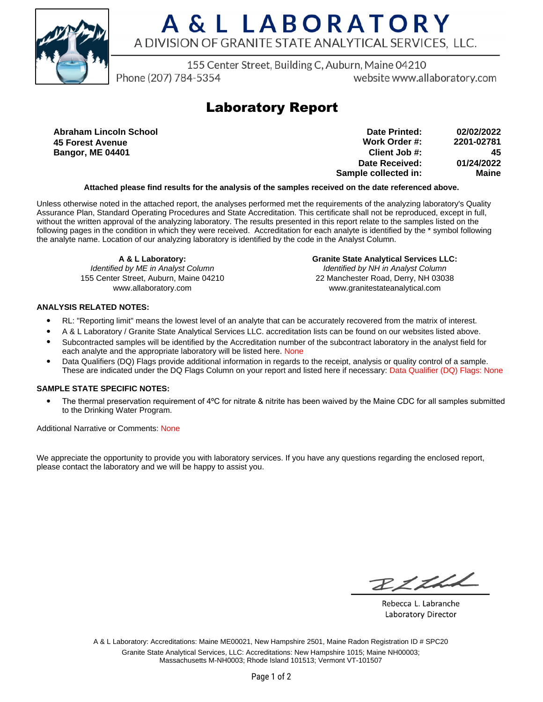

# A & L LABORATORY A DIVISION OF GRANITE STATE ANALYTICAL SERVICES, LLC.

155 Center Street, Building C, Auburn, Maine 04210

Phone (207) 784-5354

website www.allaboratory.com

## **Laboratory Report**

**Abraham Lincoln School 45 Forest Avenue Bangor, ME 04401**

**Work Order #: Client Job #: Date Received: Sample collected in: 2201-02781 45 01/24/2022 Maine Date Printed: 02/02/2022**

### **Attached please find results for the analysis of the samples received on the date referenced above.**

Unless otherwise noted in the attached report, the analyses performed met the requirements of the analyzing laboratory's Quality Assurance Plan, Standard Operating Procedures and State Accreditation. This certificate shall not be reproduced, except in full, without the written approval of the analyzing laboratory. The results presented in this report relate to the samples listed on the following pages in the condition in which they were received. Accreditation for each analyte is identified by the \* symbol following the analyte name. Location of our analyzing laboratory is identified by the code in the Analyst Column.

**A & L Laboratory:** Identified by ME in Analyst Column 155 Center Street, Auburn, Maine 04210 www.allaboratory.com

**Granite State Analytical Services LLC:** Identified by NH in Analyst Column 22 Manchester Road, Derry, NH 03038 www.granitestateanalytical.com

### **ANALYSIS RELATED NOTES:**

- RL: "Reporting limit" means the lowest level of an analyte that can be accurately recovered from the matrix of interest.
- A & L Laboratory / Granite State Analytical Services LLC. accreditation lists can be found on our websites listed above.
- Subcontracted samples will be identified by the Accreditation number of the subcontract laboratory in the analyst field for each analyte and the appropriate laboratory will be listed here. None
- Data Qualifiers (DQ) Flags provide additional information in regards to the receipt, analysis or quality control of a sample. These are indicated under the DQ Flags Column on your report and listed here if necessary: Data Qualifier (DQ) Flags: None

### **SAMPLE STATE SPECIFIC NOTES:**

• The thermal preservation requirement of 4°C for nitrate & nitrite has been waived by the Maine CDC for all samples submitted to the Drinking Water Program.

Additional Narrative or Comments: None

We appreciate the opportunity to provide you with laboratory services. If you have any questions regarding the enclosed report, please contact the laboratory and we will be happy to assist you.

RICHL

Rebecca L. Labranche Laboratory Director

A & L Laboratory: Accreditations: Maine ME00021, New Hampshire 2501, Maine Radon Registration ID # SPC20 Granite State Analytical Services, LLC: Accreditations: New Hampshire 1015; Maine NH00003; Massachusetts M-NH0003; Rhode Island 101513; Vermont VT-101507